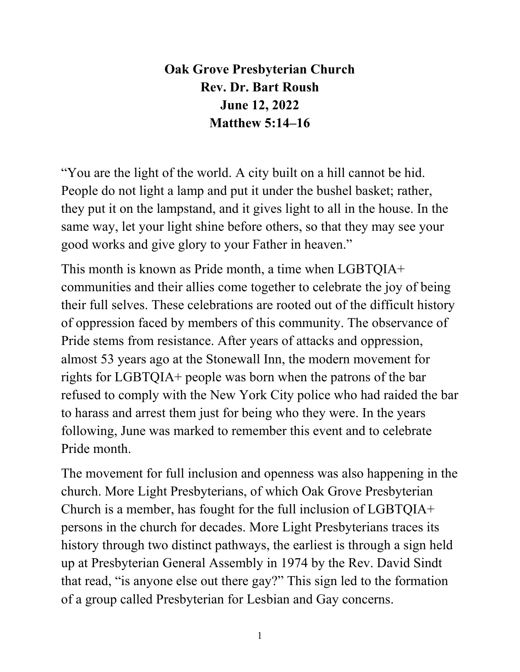**Oak Grove Presbyterian Church Rev. Dr. Bart Roush June 12, 2022 Matthew 5:14–16** 

"You are the light of the world. A city built on a hill cannot be hid. People do not light a lamp and put it under the bushel basket; rather, they put it on the lampstand, and it gives light to all in the house. In the same way, let your light shine before others, so that they may see your good works and give glory to your Father in heaven."

This month is known as Pride month, a time when LGBTQIA+ communities and their allies come together to celebrate the joy of being their full selves. These celebrations are rooted out of the difficult history of oppression faced by members of this community. The observance of Pride stems from resistance. After years of attacks and oppression, almost 53 years ago at the Stonewall Inn, the modern movement for rights for LGBTQIA+ people was born when the patrons of the bar refused to comply with the New York City police who had raided the bar to harass and arrest them just for being who they were. In the years following, June was marked to remember this event and to celebrate Pride month.

The movement for full inclusion and openness was also happening in the church. More Light Presbyterians, of which Oak Grove Presbyterian Church is a member, has fought for the full inclusion of LGBTQIA+ persons in the church for decades. More Light Presbyterians traces its history through two distinct pathways, the earliest is through a sign held up at Presbyterian General Assembly in 1974 by the Rev. David Sindt that read, "is anyone else out there gay?" This sign led to the formation of a group called Presbyterian for Lesbian and Gay concerns.

1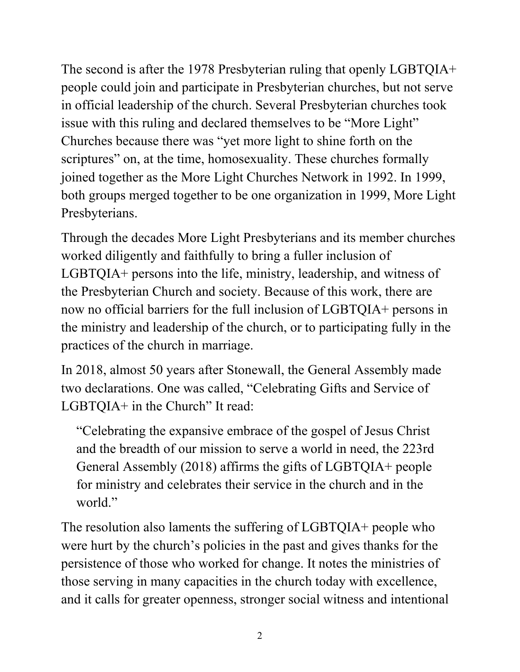The second is after the 1978 Presbyterian ruling that openly LGBTQIA+ people could join and participate in Presbyterian churches, but not serve in official leadership of the church. Several Presbyterian churches took issue with this ruling and declared themselves to be "More Light" Churches because there was "yet more light to shine forth on the scriptures" on, at the time, homosexuality. These churches formally joined together as the More Light Churches Network in 1992. In 1999, both groups merged together to be one organization in 1999, More Light Presbyterians.

Through the decades More Light Presbyterians and its member churches worked diligently and faithfully to bring a fuller inclusion of LGBTQIA+ persons into the life, ministry, leadership, and witness of the Presbyterian Church and society. Because of this work, there are now no official barriers for the full inclusion of LGBTQIA+ persons in the ministry and leadership of the church, or to participating fully in the practices of the church in marriage.

In 2018, almost 50 years after Stonewall, the General Assembly made two declarations. One was called, "Celebrating Gifts and Service of LGBTQIA+ in the Church" It read:

"Celebrating the expansive embrace of the gospel of Jesus Christ and the breadth of our mission to serve a world in need, the 223rd General Assembly (2018) affirms the gifts of LGBTQIA+ people for ministry and celebrates their service in the church and in the world."

The resolution also laments the suffering of LGBTQIA+ people who were hurt by the church's policies in the past and gives thanks for the persistence of those who worked for change. It notes the ministries of those serving in many capacities in the church today with excellence, and it calls for greater openness, stronger social witness and intentional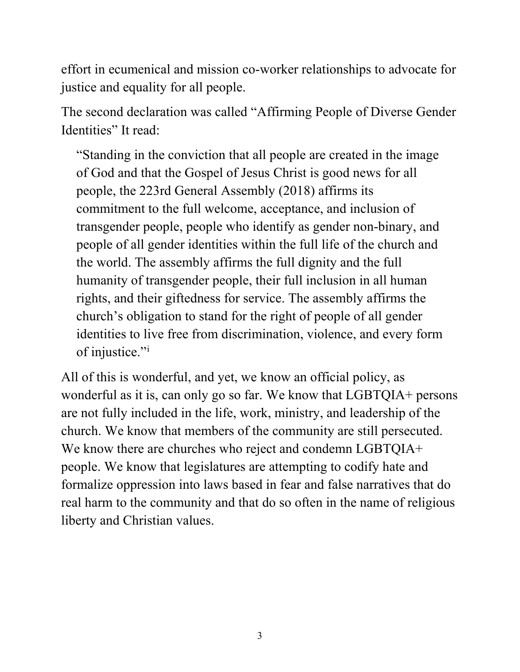effort in ecumenical and mission co-worker relationships to advocate for justice and equality for all people.

The second declaration was called "Affirming People of Diverse Gender Identities" It read:

"Standing in the conviction that all people are created in the image of God and that the Gospel of Jesus Christ is good news for all people, the 223rd General Assembly (2018) affirms its commitment to the full welcome, acceptance, and inclusion of transgender people, people who identify as gender non-binary, and people of all gender identities within the full life of the church and the world. The assembly affirms the full dignity and the full humanity of transgender people, their full inclusion in all human rights, and their giftedness for service. The assembly affirms the church's obligation to stand for the right of people of all gender identities to live free from discrimination, violence, and every form of [i](#page-4-0)njustice."<sup>i</sup>

All of this is wonderful, and yet, we know an official policy, as wonderful as it is, can only go so far. We know that LGBTQIA+ persons are not fully included in the life, work, ministry, and leadership of the church. We know that members of the community are still persecuted. We know there are churches who reject and condemn LGBTQIA+ people. We know that legislatures are attempting to codify hate and formalize oppression into laws based in fear and false narratives that do real harm to the community and that do so often in the name of religious liberty and Christian values.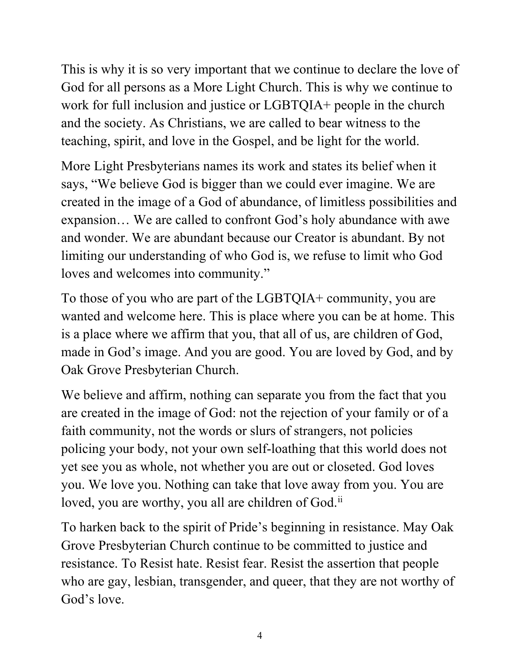This is why it is so very important that we continue to declare the love of God for all persons as a More Light Church. This is why we continue to work for full inclusion and justice or LGBTQIA+ people in the church and the society. As Christians, we are called to bear witness to the teaching, spirit, and love in the Gospel, and be light for the world.

More Light Presbyterians names its work and states its belief when it says, "We believe God is bigger than we could ever imagine. We are created in the image of a God of abundance, of limitless possibilities and expansion… We are called to confront God's holy abundance with awe and wonder. We are abundant because our Creator is abundant. By not limiting our understanding of who God is, we refuse to limit who God loves and welcomes into community."

To those of you who are part of the LGBTQIA+ community, you are wanted and welcome here. This is place where you can be at home. This is a place where we affirm that you, that all of us, are children of God, made in God's image. And you are good. You are loved by God, and by Oak Grove Presbyterian Church.

We believe and affirm, nothing can separate you from the fact that you are created in the image of God: not the rejection of your family or of a faith community, not the words or slurs of strangers, not policies policing your body, not your own self-loathing that this world does not yet see you as whole, not whether you are out or closeted. God loves you. We love you. Nothing can take that love away from you. You are loved, you are worthy, you all are children of God.<sup>ii</sup>

To harken back to the spirit of Pride's beginning in resistance. May Oak Grove Presbyterian Church continue to be committed to justice and resistance. To Resist hate. Resist fear. Resist the assertion that people who are gay, lesbian, transgender, and queer, that they are not worthy of God's love.